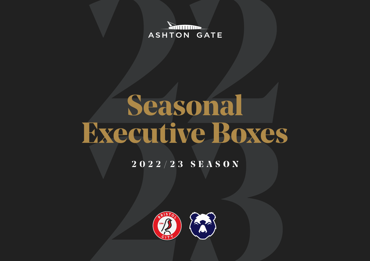**Antimon ASHTON GATE** 

# **Seasonal Executive Boxes**

#### **2022/23 SEASON**

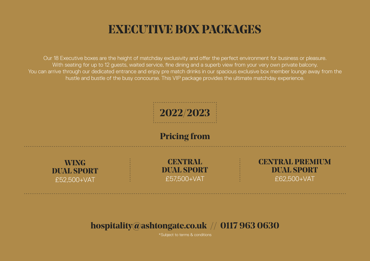## **EXECUTIVE BOX PACKAGES**

Our 18 Executive boxes are the height of matchday exclusivity and offer the perfect environment for business or pleasure. With seating for up to 12 quests, waited service, fine dining and a superb view from your very own private balcony. You can arrive through our dedicated entrance and enjoy pre match drinks in our spacious exclusive box member lounge away from the hustle and bustle of the busy concourse. This VIP package provides the ultimate matchday experience.



#### **hospitality@ashtongate.co.uk // 0117 963 0630**

\*Subject to terms & conditions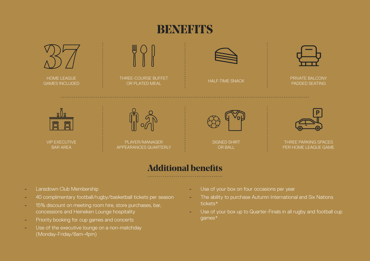### **BENEFITS**



#### **Additional benefits**

- Lansdown Club Membership
- 40 complimentary football/rugby/basketball tickets per season
- 15% discount on meeting room hire, store purchases, bar, concessions and Heineken Lounge hospitality
- **Example 2** Priority booking for cup games and concerts
- Use of the executive lounge on a non-matchday (Monday-Friday/8am-4pm)
- Use of your box on four occasions per year
- The ability to purchase Autumn International and Six Nations tickets\*
- Use of your box up to Quarter-Finals in all rugby and football cup games\*